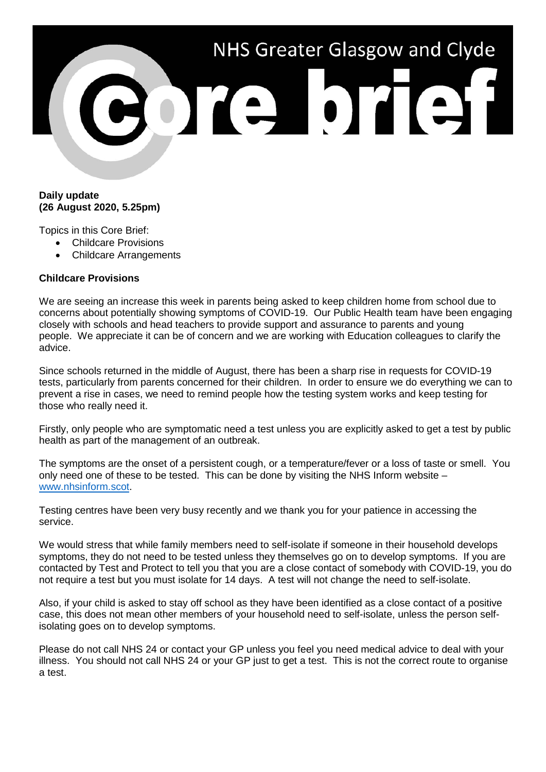

## **Daily update (26 August 2020, 5.25pm)**

Topics in this Core Brief:

- Childcare Provisions
- Childcare Arrangements

## **Childcare Provisions**

We are seeing an increase this week in parents being asked to keep children home from school due to concerns about potentially showing symptoms of COVID-19. Our Public Health team have been engaging closely with schools and head teachers to provide support and assurance to parents and young people. We appreciate it can be of concern and we are working with Education colleagues to clarify the advice.

Since schools returned in the middle of August, there has been a sharp rise in requests for COVID-19 tests, particularly from parents concerned for their children. In order to ensure we do everything we can to prevent a rise in cases, we need to remind people how the testing system works and keep testing for those who really need it.

Firstly, only people who are symptomatic need a test unless you are explicitly asked to get a test by public health as part of the management of an outbreak.

The symptoms are the onset of a persistent cough, or a temperature/fever or a loss of taste or smell. You only need one of these to be tested. This can be done by visiting the NHS Inform website – [www.nhsinform.scot.](http://www.nhsinform.scot/)

Testing centres have been very busy recently and we thank you for your patience in accessing the service.

We would stress that while family members need to self-isolate if someone in their household develops symptoms, they do not need to be tested unless they themselves go on to develop symptoms. If you are contacted by Test and Protect to tell you that you are a close contact of somebody with COVID-19, you do not require a test but you must isolate for 14 days. A test will not change the need to self-isolate.

Also, if your child is asked to stay off school as they have been identified as a close contact of a positive case, this does not mean other members of your household need to self-isolate, unless the person selfisolating goes on to develop symptoms.

Please do not call NHS 24 or contact your GP unless you feel you need medical advice to deal with your illness. You should not call NHS 24 or your GP just to get a test. This is not the correct route to organise a test.